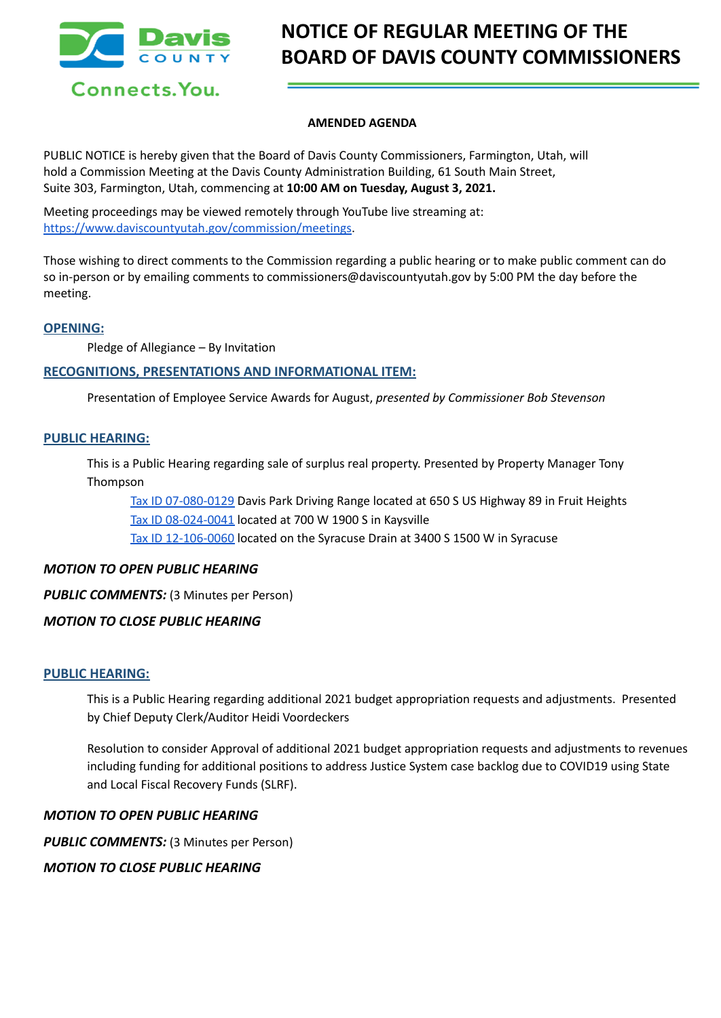

# **NOTICE OF REGULAR MEETING OF THE BOARD OF DAVIS COUNTY COMMISSIONERS**

## **AMENDED AGENDA**

PUBLIC NOTICE is hereby given that the Board of Davis County Commissioners, Farmington, Utah, will hold a Commission Meeting at the Davis County Administration Building, 61 South Main Street, Suite 303, Farmington, Utah, commencing at **10:00 AM on Tuesday, August 3, 2021.**

Meeting proceedings may be viewed remotely through YouTube live streaming at: [https://www.daviscountyutah.gov/commission/meetings.](https://www.daviscountyutah.gov/commission/meetings)

Those wishing to direct comments to the Commission regarding a public hearing or to make public comment can do so in-person or by emailing comments to commissioners@daviscountyutah.gov by 5:00 PM the day before the meeting.

## **OPENING:**

Pledge of Allegiance – By Invitation

# **RECOGNITIONS, PRESENTATIONS AND INFORMATIONAL ITEM:**

Presentation of Employee Service Awards for August, *presented by Commissioner Bob Stevenson*

## **PUBLIC HEARING:**

This is a Public Hearing regarding sale of surplus real property. Presented by Property Manager Tony Thompson

Tax ID [07-080-0129](https://drive.google.com/file/d/1UvLZUno8CTTDX5TyKVda-_uvn_LJaYM_/view?usp=sharing) Davis Park Driving Range located at 650 S US Highway 89 in Fruit Heights Tax ID [08-024-0041](https://drive.google.com/file/d/1TSJU5HK8nvF8EsS_DmPrAIj9NMv4ti8X/view?usp=sharing) located at 700 W 1900 S in Kaysville Tax ID [12-106-0060](https://drive.google.com/file/d/16m8B6w1NL10vyUhn8QpyoZPzZvERBVAI/view?usp=sharing) located on the Syracuse Drain at 3400 S 1500 W in Syracuse

# *MOTION TO OPEN PUBLIC HEARING*

*PUBLIC COMMENTS:* (3 Minutes per Person)

# *MOTION TO CLOSE PUBLIC HEARING*

## **PUBLIC HEARING:**

This is a Public Hearing regarding additional 2021 budget appropriation requests and adjustments. Presented by Chief Deputy Clerk/Auditor Heidi Voordeckers

Resolution to consider Approval of additional 2021 budget appropriation requests and adjustments to revenues including funding for additional positions to address Justice System case backlog due to COVID19 using State and Local Fiscal Recovery Funds (SLRF).

## *MOTION TO OPEN PUBLIC HEARING*

*PUBLIC COMMENTS:* (3 Minutes per Person)

*MOTION TO CLOSE PUBLIC HEARING*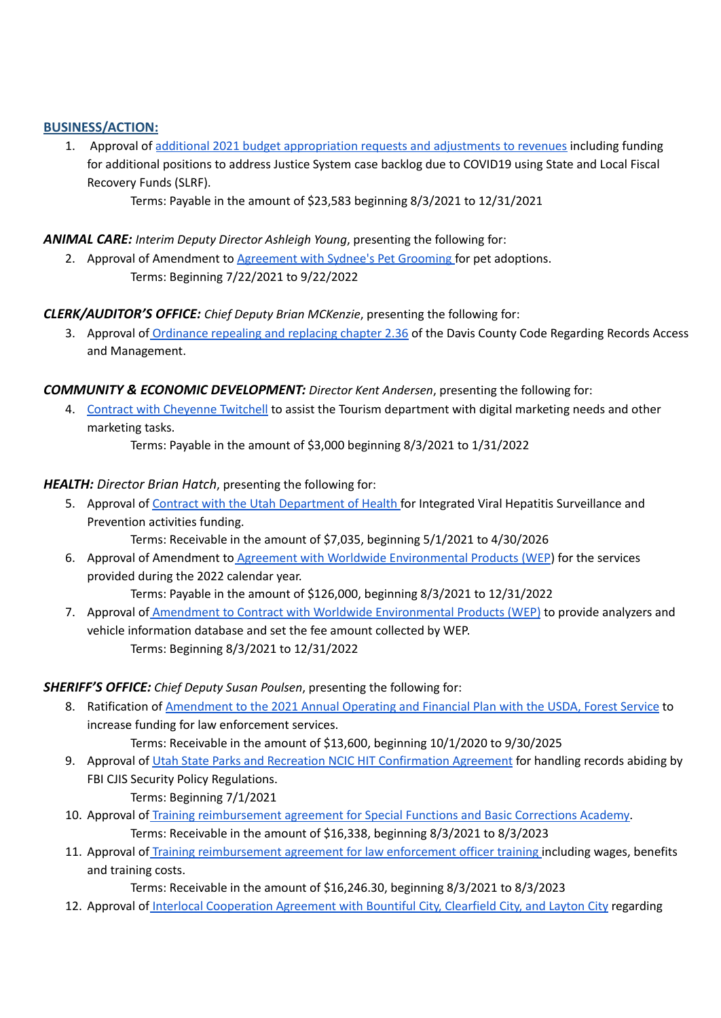# **BUSINESS/ACTION:**

1. Approval of additional 2021 budget [appropriation](https://drive.google.com/file/d/1H6cOXX8rIrqRM2Vj6fvpRf5FYPdPAuBp/view?usp=sharing) requests and adjustments to revenues including funding for additional positions to address Justice System case backlog due to COVID19 using State and Local Fiscal Recovery Funds (SLRF).

Terms: Payable in the amount of \$23,583 beginning 8/3/2021 to 12/31/2021

# *ANIMAL CARE: Interim Deputy Director Ashleigh Young*, presenting the following for:

2. Approval of Amendment to [Agreement](https://drive.google.com/file/d/1mj6YZYFOVpIKGpKREAlIgeZ85TXeGkWx/view?usp=sharing) with Sydnee's Pet Grooming for pet adoptions. Terms: Beginning 7/22/2021 to 9/22/2022

# *CLERK/AUDITOR'S OFFICE: Chief Deputy Brian MCKenzie*, presenting the following for:

3. Approval of [Ordinance](https://drive.google.com/file/d/14cdr81E63udj8JPehA7T72fIhm-FuEEL/view?usp=sharing) repealing and replacing chapter 2.36 of the Davis County Code Regarding Records Access and Management.

# *COMMUNITY & ECONOMIC DEVELOPMENT: Director Kent Andersen*, presenting the following for:

4. Contract with [Cheyenne](https://drive.google.com/file/d/1sXRvQEtKfiaXJwaVsdskwSFlsZZYlHxJ/view?usp=sharing) Twitchell to assist the Tourism department with digital marketing needs and other marketing tasks.

Terms: Payable in the amount of \$3,000 beginning 8/3/2021 to 1/31/2022

# *HEALTH: Director Brian Hatch*, presenting the following for:

- 5. Approval of Contract with the Utah [Department](https://drive.google.com/file/d/17Jte9c7DC14jW056omFIQNy59Tm8dKl3/view?usp=sharing) of Health for Integrated Viral Hepatitis Surveillance and Prevention activities funding.
	- Terms: Receivable in the amount of \$7,035, beginning 5/1/2021 to 4/30/2026
- 6. Approval of Amendment to Agreement with Worldwide [Environmental](https://drive.google.com/file/d/15lXuFsPMWsXq9YG_oHuEcFztsj7UL5-K/view?usp=sharing) Products (WEP) for the services provided during the 2022 calendar year. Terms: Payable in the amount of \$126,000, beginning 8/3/2021 to 12/31/2022
- 7. Approval of Amendment to Contract with Worldwide [Environmental](https://drive.google.com/file/d/1W6ni2JXi076TMnjqPsnt_7NuXlXv02uG/view?usp=sharing) Products (WEP) to provide analyzers and vehicle information database and set the fee amount collected by WEP. Terms: Beginning 8/3/2021 to 12/31/2022

# *SHERIFF'S OFFICE: Chief Deputy Susan Poulsen*, presenting the following for:

- 8. Ratification of [Amendment](https://drive.google.com/file/d/1L9TUcc2jR7bPiCAKMuATHiKn6eAE10GB/view?usp=sharing) to the 2021 Annual Operating and Financial Plan with the USDA, Forest Service to increase funding for law enforcement services.
	- Terms: Receivable in the amount of \$13,600, beginning 10/1/2020 to 9/30/2025
- 9. Approval of Utah State Parks and Recreation NCIC HIT [Confirmation](https://drive.google.com/file/d/1oVMUkK1K83yRfZXDcy1LNY5EBw3C01cY/view?usp=sharing) Agreement for handling records abiding by FBI CJIS Security Policy Regulations. Terms: Beginning 7/1/2021
- 10. Approval of Training [reimbursement](https://drive.google.com/file/d/1z47VYcbu3HguW5y1zV-Jib78SVMpHicR/view?usp=sharing) agreement for Special Functions and Basic Corrections Academy. Terms: Receivable in the amount of \$16,338, beginning 8/3/2021 to 8/3/2023
- 11. Approval of Training [reimbursement](https://drive.google.com/file/d/1F89eKtfynAzRf2OopaAlq1rUq60iBpoS/view?usp=sharing) agreement for law enforcement officer training including wages, benefits and training costs.

Terms: Receivable in the amount of \$16,246.30, beginning 8/3/2021 to 8/3/2023

12. Approval of Interlocal [Cooperation](https://drive.google.com/file/d/1Dnle65QgS0sSNpWKnxecI9YNnUprInwp/view?usp=sharing) Agreement with Bountiful City, Clearfield City, and Layton City regarding